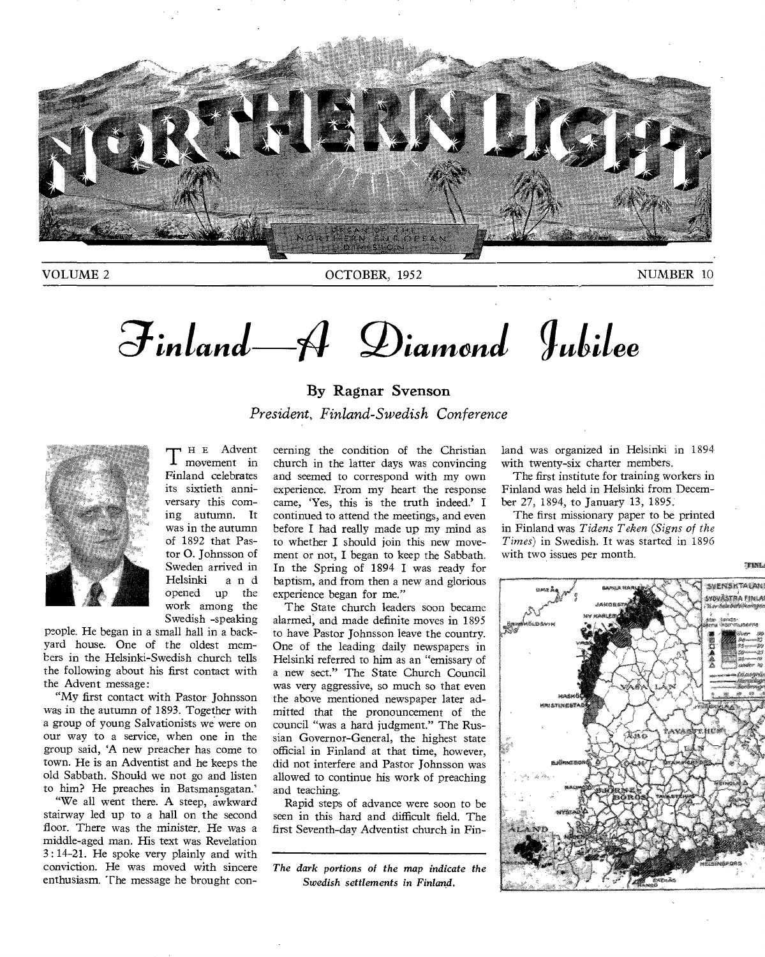

VOLUME 2 OCTOBER, 1952 NUMBER 10

 $\mathcal{F}$ inland  $\mathcal{A}$  Diamond Jubilee

By Ragnar Svenson *President, Finland-Swedish Conference* 



T <sup>H E</sup> Advent<br>
movement in movement in Finland celebrates its sixtieth anniversary this coming autumn. It was in the autumn of 1892 that Pastor 0. Johnsson of Sweden arrived in Helsinki and opened up the work among the Swedish -speaking

people. He began in a small hall in a backyard house. One of the oldest members in the Helsinki-Swedish church tells the following about his first contact with the Advent message:

"My first contact with Pastor Johnsson was in the autumn of 1893. Together with a group of young Salvationists we were on our way to a service, when one in the group said, 'A new preacher has come to town. He is an Adventist and he keeps the old Sabbath. Should we not go and listen to him? He preaches in Batsmansgatan.'

"We all went there. A steep, awkward stairway led up to a hall on the second floor. There was the minister. He was a middle-aged man. His text was Revelation 3: 14-21. He spoke very plainly and with conviction. He was moved with sincere enthusiasm. The message he brought concerning the condition of the Christian church in the latter days was convincing and seemed to correspond with my own experience. From my heart the response came, 'Yes, this is the truth indeed.' I continued to attend the meetings, and even before I had really made up my mind as to whether I should join this new movement or not, I began to keep the Sabbath. In the Spring of 1894 I was ready for baptism, and from then a new and glorious experience began for me."

The State church leaders soon became alarmed, and made definite moves in 1895 to have Pastor Johnsson leave the country. One of the leading daily newspapers in Helsinki referred to him as an "emissary of a new sect." The State Church Council was very aggressive, so much so that even the above mentioned newspaper later admitted that the pronouncement of the council "was a hard judgment." The Russian Governor-General, the highest state official in Finland at that time, however, did not interfere and Pastor Johnsson was allowed to continue his work of preaching and teaching.

Rapid steps of advance were soon to be seen in this hard and difficult field. The first Seventh-day Adventist church in Fin-

*The dark portions of the map indicate the Swedish settlements in Finland.* 

land was organized in Helsinki in 1894 with twenty-six charter members.

The first institute for training workers in Finland was held in Helsinki from December 27, 1894, to January 13, 1895.

The first missionary paper to be printed in Finland was *Tidens T eken (Signs of the Times)* in Swedish. It was started in 1896 with two issues per month.

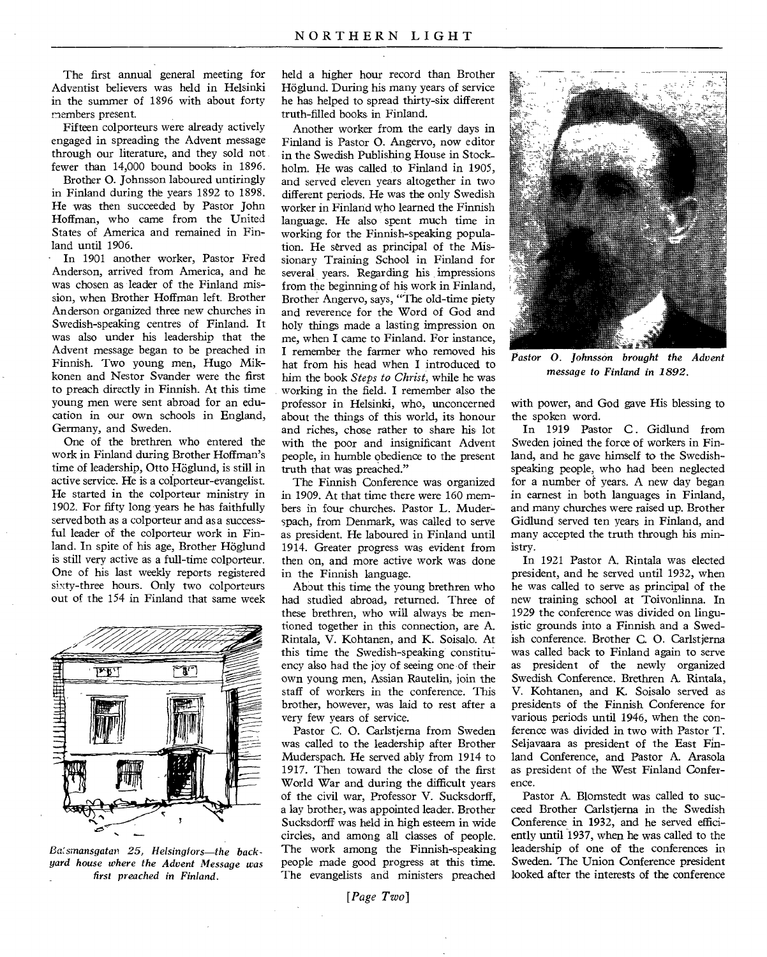The first annual general meeting for Adventist believers was held in Helsinki in the summer of 1896 with about forty members present.

Fifteen colporteurs were already actively engaged in spreading the Advent message through our literature, and they sold not fewer than 14,000 bound books in 1896.

Brother 0. Johnsson laboured untiringly in Finland during the years 1892 to 1898. He was then succeeded by Pastor John Hoffman, who came from the United States of America and remained in Finland until 1906.

In 1901 another worker, Pastor Fred Anderson, arrived from America, and he was chosen as leader of the Finland mission, when Brother Hoffman left. Brother Anderson organized three new churches in Swedish-speaking centres of Finland. It was also under his leadership that the Advent message began to be preached in Finnish. Two young men, Hugo Mikkonen and Nestor Svander were the first to preach directly in Finnish. At this time young men were sent abroad for an education in our own schools in England, Germany, and Sweden.

One of the brethren who entered the work in Finland during Brother Hoffman's time of leadership, Otto Höglund, is still in active service. He is a colporteur-evangelist. He started in the colporteur ministry in 1902. For fifty long years he has faithfully served both as a colporteur and as a successful leader of the colporteur work in Finland. In spite of his age, Brother Höglund is still very active as a full-time colporteur. One of his last weekly reports registered sixty-three hours. Only two colporteurs out of the 154 in Finland that same week



*Basrnansgatan 25, Helsingfors—the backyard house where the Advent Message was first preached in Finland.* 

held a higher hour record than Brother Höglund. During his many years of service he has helped to spread thirty-six different truth-filled books in Finland.

Another worker from the early days in Finland is Pastor 0. Angervo, now editor in the Swedish Publishing House in Stockholm. He was called to Finland in 1905, and served eleven years altogether in two different periods. He was the only Swedish worker in Finland who learned the Finnish language. He also spent much time in working for the Finnish-speaking population. He served as principal of the Missionary Training School in Finland for several years. Regarding his impressions from the beginning of his work in Finland, Brother Angervo, says, "The old-time piety and reverence for the Word of God and holy things made a lasting impression on me, when I came to Finland. For instance, I remember the farmer who removed his hat from his head when I introduced to him the book *Steps to Christ,* while he was working in the field. I remember also the professor in Helsinki, who, unconcerned about the things of this world, its honour and riches, chose rather to share his lot with the poor and insignificant Advent people, in humble obedience to the present truth that was preached."

The Finnish Conference was organized in 1909. At that time there were 160 members in four churches. Pastor L. Muderspach, from Denmark, was called to serve as president. He laboured in Finland until 1914. Greater progress was evident from then on, and more active work was done in the Finnish language.

About this time the young brethren who had studied abroad, returned. Three of these brethren, who will always be mentioned together in this connection, are A. Rintala, V. Kohtanen, and K. Soisalo. At this time the Swedish-speaking constituency also had the joy of seeing one of their own young men, Assian Rautelin, join the staff of workers in the conference. This brother, however, was laid to rest after a very few years of service.

Pastor C. 0. Carlstjerna from Sweden was called to the leadership after Brother Muderspach. He served ably from 1914 to 1917. Then toward the close of the first World War and during the difficult years of the civil war, Professor V. Sucksdorff, a lay brother, was appointed leader. Brother Sucksdorff was held in high esteem in wide circles, and among all classes of people. The work among the Finnish-speaking people made good progress at this time. The evangelists and ministers preached



*Pastor 0. Johnsson brought the Advent message to Finland in 1892.* 

with power, and God gave His blessing to the spoken word.

In 1919 Pastor C. Gidlund from Sweden joined the force of workers in Finland, and he gave himself to the Swedishspeaking people, who had been neglected for a number of years. A new day began in earnest in both languages in Finland, and many churches were raised up. Brother Gidlund served ten years in Finland, and many accepted the truth through his ministry.

In 1921 Pastor A. Rintala was elected president, and he served until 1932, when he was called to serve as principal of the new training school at Toivonlinna. In 1929 the conference was divided on linguistic grounds into a Finnish and a Swedish conference. Brother C. 0. Carlstjerna was called back to Finland again to serve as president of the newly organized Swedish Conference. Brethren A. Rintala, V. Kohtanen, and K. Soisalo served as presidents of the Finnish Conference for various periods until 1946, when the conference was divided in two with Pastor T. Seljavaara as president of the East Finland Conference, and Pastor A. Arasola as president of the West Finland Conference.

Pastor A. Blomstedt was called to succeed Brother Carlstjerna in the Swedish Conference in 1932, and he served efficiently until 1937, when he was called to the leadership of one of the conferences in Sweden. The Union Conference president looked after the interests of the conference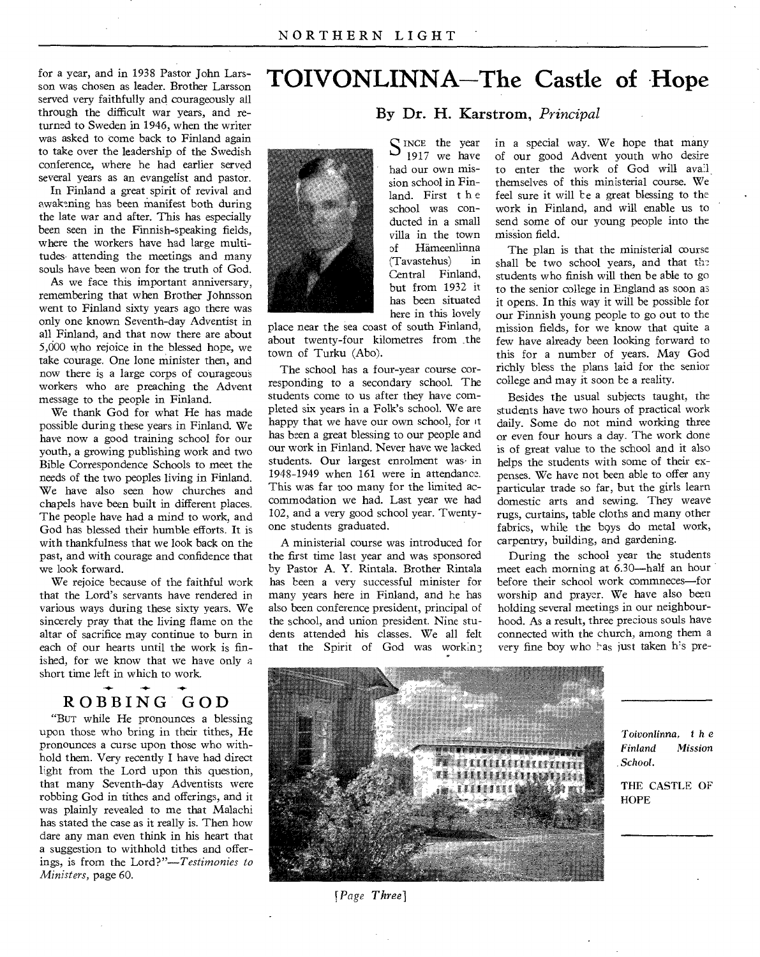for a year, and in 1938 Pastor John Larsson was chosen as leader. Brother Larsson served very faithfully and courageously all through the difficult war years, and returned to Sweden in 1946, when the writer was asked to come back to Finland again to take over the leadership of the Swedish conference, where he had earlier served several years as an evangelist and pastor.

In Finland a great spirit of revival and awakening has been manifest both during the late war and after. This has especially been seen in the Finnish-speaking fields, where the workers have had large multitudes attending the meetings and many souls have been won for the truth of God.

As we face this important anniversary, remembering that when Brother Johnsson went to Finland sixty years ago there was only one known Seventh-day Adventist in all.Finland, and that now there are about 5,000 who rejoice in the blessed hope, we take courage. One lone minister then, and now there is a large corps of courageous workers who are preaching the Advent message to the people in Finland.

We thank God for what He has made possible during these years in Finland. We have now a good training school for our youth, a growing publishing work and two Bible Correspondence Schools to meet the needs of the two peoples living in Finland. We have also seen how churches and chapels have been built in different places. The people have had a mind to work, and God has blessed their humble efforts. It is with thankfulness that we look back on the past, and with courage and confidence that we look forward.

We rejoice because of the faithful work that the Lord's servants have rendered in various ways during these sixty years. We sincerely pray that the living flame on the altar of sacrifice may continue to burn in each of our hearts until the work is finished, for we know that we have only a short time left in which to work.

#### **-4-**  ROBBING GOD

"Bur while He pronounces a blessing upon those who bring in their tithes, He pronounces a curse upon those who withhold them. Very recently I have had direct light from the Lord upon this question, that many Seventh-day Adventists were robbing God in tithes and offerings, and it was plainly revealed to me that Malachi has stated the case as it really is. Then how dare any man even think in his heart that a suggestion to withhold tithes and offerings, is from the *Lord?"—Testimonies to Ministers,* page 60.

# **TOIVONLINNA—The Castle of Hope**

# By Dr. H. Karstrom, *Principal*

 $S_{1917}^{INCE}$  the year 1917 we have had our own mission school in Fin-

school was conducted in a small villa in the town of Hameenlinna (Tavastehus) in Central Finland, but from 1932 it has been situated here in this lovely



place near the sea coast of south Finland, about twenty-four kilometres from ,the town of Turku (Abo).

The school has a four-year course corresponding to a secondary school. The students come to us after they have completed six years in a Folk's school. We are happy that we have our own school, for it has been a great blessing to our people and our work in Finland. Never have we lacked students. Our largest enrolment was in 1948-1949 when 161 were in attendance. This was far too many for the limited accommodation we had. Last year we had 102, and a very good school year. Twentyone students graduated.

A ministerial course was introduced for the first time last year and was sponsored by Pastor A. Y. Rintala. Brother Rintala has been a very successful minister for many years here in Finland, and he has also been conference president, principal of the school, and union president. Nine students attended his classes. We all felt that the Spirit of God was working

in a special way. We hope that many of our good Advent youth who desire to enter the work of God will avail themselves of this ministerial course. We feel sure it will be a great blessing to the work in Finland, and will enable us to send some of our young people into the mission field.

The plan is that the ministerial course shall be two school years, and that the students who finish will then be able to go to the senior college in England as soon as it opens. In this way it will be possible for our Finnish young people to go out to the mission fields, for we know that quite a few have already been looking forward to this for a number of years. May God richly bless the plans laid for the senior college and may it soon be a reality.

Besides the usual subjects taught, the students have two hours of practical work daily. Some do not mind working three or even four hours a day. The work done is of great value to the school and it also helps the students with some of their expenses. We have not been able to offer any particular trade so far, but the girls learn domestic arts and sewing. They weave rugs, curtains, table cloths and many other fabrics, while the boys do metal work, carpentry, building, and gardening.

During the school year the students meet each morning at 6.30—half an hour before their school work commneces—for worship and prayer. We have also been holding several meetings in our neighbourhood. As a result, three precious souls have connected with the church, among them a very fine boy who has just taken his pre-



*[Page Three]* 

*Toivonlinna, t* h *e Finland Mission School.* 

THE CASTLE OF **HOPE**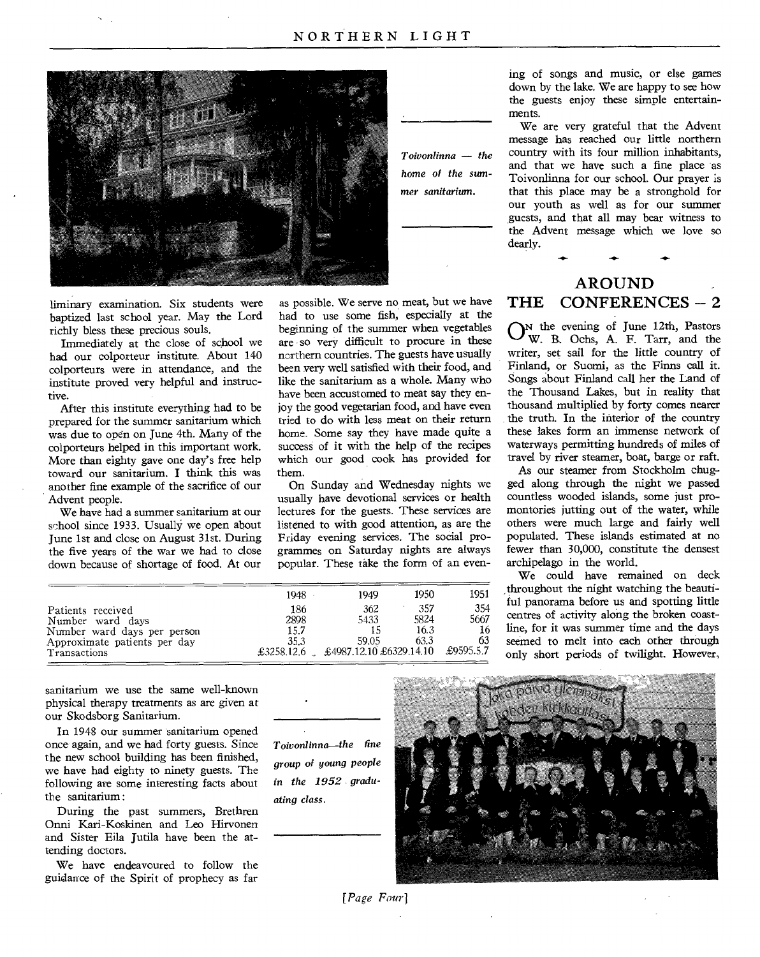

*Toivonlinna — the home of the summer sanitarium.* 

ing of songs and music, or else games down by the lake. We are happy to see how the guests enjoy these simple entertainments.

We are very grateful that the Advent message has reached our little northern country with its four million inhabitants, and that we have such a fine place as Toivonlinna for our school. Our prayer is that this place may be a stronghold for our youth as well as for our summer guests, and that all may bear witness to the Advent message which we love so dearly.

**-4.** 

# AROUND THE CONFERENCES - 2

ON the evening of June 12th, Pastors W. B. Ochs, A. F. Tarr, and the writer, set sail for the little country of Finland, or Suomi, as the Finns call it. Songs about Finland call her the Land of the Thousand Lakes, but in reality that thousand multiplied by forty comes nearer the truth. In the interior of the country these lakes form an immense network of waterways permitting hundreds of miles of travel by river steamer, boat, barge or raft.

As our steamer from Stockholm chugged along through the night we passed countless wooded islands, some just promontories jutting out of the water, while others were much large and fairly well populated. These islands estimated at no fewer than 30,000, constitute the densest archipelago in the world.

We could have remained on deck throughout the night watching the beautiful panorama before us and spotting little centres of activity along the broken coastline, for it was summer time and the days seemed to melt into each other through only short periods of twilight. However,

liminary examination. Six students were baptized last school year. May the Lord richly bless these precious souls.

Immediately at the close of school we had our colporteur institute. About 140 colporteurs were in attendance, and the institute proved very helpful and instructive.

After this institute everything had to be prepared for the summer sanitarium which was due to open on June 4th. Many of the colporteurs helped in this important work. More than eighty gave one day's free help toward our sanitarium. I think this was another fine example of the sacrifice of our Advent people.

We have had a summer sanitarium at our school since 1933. Usually we open about June 1st and close on August 31st. During the five years of the war we had to close down because of shortage of food. At our

as possible. We serve no meat, but we have had to use some fish, especially at the beginning of the summer when vegetables are so very difficult to procure in these northern countries. The guests have usually been very well satisfied with their food, and like the sanitarium as a whole. Many who have been accustomed to meat say they enjoy the good vegetarian food, and have even tried to do with less meat on their return home. Some say they have made quite a success of it with the help of the recipes which our good cook has provided for them.

On Sunday and Wednesday nights we usually have devotional services or health lectures for the guests. These services are listened to with good attention, as are the Friday evening services. The social programmes on Saturday nights are always popular. These take the form of an even-

|                              | 1948       | 1949                    | 1950 | 1951      |
|------------------------------|------------|-------------------------|------|-----------|
| Patients received            | 186        | 362                     | 357  | 354       |
| Number ward days             | 2898       | 5433                    | 5824 | 5667      |
| Number ward days per person  | 15.7       |                         | 16.3 |           |
| Approximate patients per day | 35.3       | 59.05                   | 63.3 | 63        |
| Transactions                 | £3258.12.6 | £4987.12.10 £6329.14.10 |      | £9595.5.7 |

sanitarium we use the same well-known physical therapy treatments as are given at our Skodsborg Sanitarium.

In 1948 our summer sanitarium opened once again, and we had forty guests. Since the new school building has been finished, we have had eighty to ninety guests. The following are some interesting facts about the sanitarium :

During the past summers, Brethren Onni Kari-Koskinen and Leo Hirvonen and Sister Eila Jutila have been the attending doctors.

We have endeavoured to follow the guidance of the Spirit of prophecy as far *Toivonlinna—the fine*  group *of* young *people in the 1952 graduating class.* 



*[Page Four}*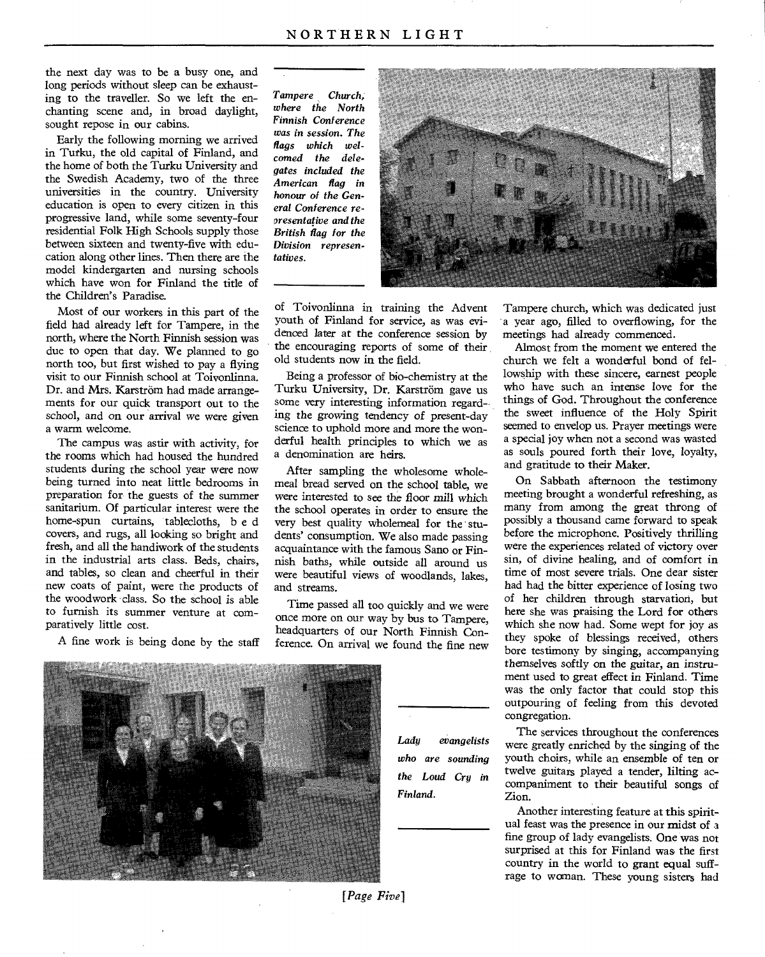the next day was to be a busy one, and long periods without sleep can be exhausting to the traveller. So we left the enchanting scene and, in broad daylight, sought repose in our cabins.

Early the following morning we arrived in Turku, the old capital of Finland, and the home of both the Turku University and the Swedish Academy, two of the three universities in the country. University education is open to every citizen in this progressive land, while some seventy-four residential Folk High Schools supply those between sixteen and twenty-five with education along other lines. Then there are the model kindergarten and nursing schools which have won for Finland the title of the Children's Paradise.

Most of our workers in this part of the field had already left for Tampere, in the north, where the North Finnish session was due to open that day. We planned to go north too, but first wished to pay a flying visit to our Finnish school at Toivonlinna. Dr. and Mrs. Karström had made arrangements for our quick transport out to the school, and on our arrival we were given a warm welcome.

The campus was astir with activity, for the rooms which had housed the hundred students during the school year were now being turned into neat little bedrooms in preparation for the guests of the summer sanitarium. Of particular interest were the home-spun curtains, tablecloths, b e d covers, and rugs, all looking so bright and fresh, and all the handiwork of the students in the industrial arts class. Beds, chairs, and tables, so clean and cheerful in their new coats of paint, were the products of the woodwork class. So the school is able to furnish its summer venture at comparatively little cost.

A fine work is being done by the staff

*Tampere Church; where the North Finnish Conference was in session. The flags which wel-*

*comed the delegates included the American flag in honour of the General Conference representative and the British flag for the Division representatives.* 



of Toivonlinna in training the Advent youth of Finland for service, as was evidenced later at the conference session by the encouraging reports of some of their old students now in the field.

Being a professor of bio-chemistry at the Turku University, Dr. Karström gave us some very interesting information regarding the *growing* tendency of present-day science to uphold more and more the wonderful health principles to which we as a denomination are heirs.

After sampling the wholesome wholemeal bread served on the school table, we were interested to see the floor mill which the school operates in order to ensure the very best quality wholemeal for the students' consumption. We also made passing acquaintance with the famous Sano or Finnish baths, while outside all around us were beautiful views of woodlands, lakes, and streams.

Time passed all too quickly and we were once more on our way by bus to Tampere, headquarters of our North Finnish Conference. On arrival we found the fine new Tampere church, which was dedicated just a year ago, filled to overflowing, for the meetings had already commenced.

Almost from the moment we entered the church we felt a wonderful bond of fellowship with these sincere, earnest people who have such an intense love for the things of God. Throughout the conference the sweet influence of the Holy Spirit seemed to envelop us. Prayer meetings were a special joy when not a second was wasted as souls poured forth their love, loyalty, and gratitude to their Maker.

On Sabbath afternoon the testimony meeting brought a wonderful refreshing, as many from among the great throng of possibly a thousand came forward to speak before the microphone. Positively thrilling were the experiences related of victory over sin, of divine healing, and of comfort in time of most severe trials. One dear sister had had the bitter experience of losing two of her children through starvation, but here she was praising the Lord for others which she now had. Some wept for joy as they spoke of blessings received, others bore testimony by singing, accompanying themselves softly on the *guitar, an* instrument used to great effect in Finland. Time was the only factor that could stop this outpouring of feeling from this devoted congregation.



*Lady evangelists who are sounding the Loud Cry in Finland.* 

The services throughout the conferences were greatly enriched by the singing of the youth choirs, while an ensemble of *ten* or twelve guitars played a tender, lilting accompaniment to their beautiful songs of Zion.

Another interesting feature at this spiritual feast was the presence in our midst of a fine group of lady evangelists. One was not surprised at this for Finland was the first country in the world to grant equal suffrage to woman. These young sisters had

*[Page Five]*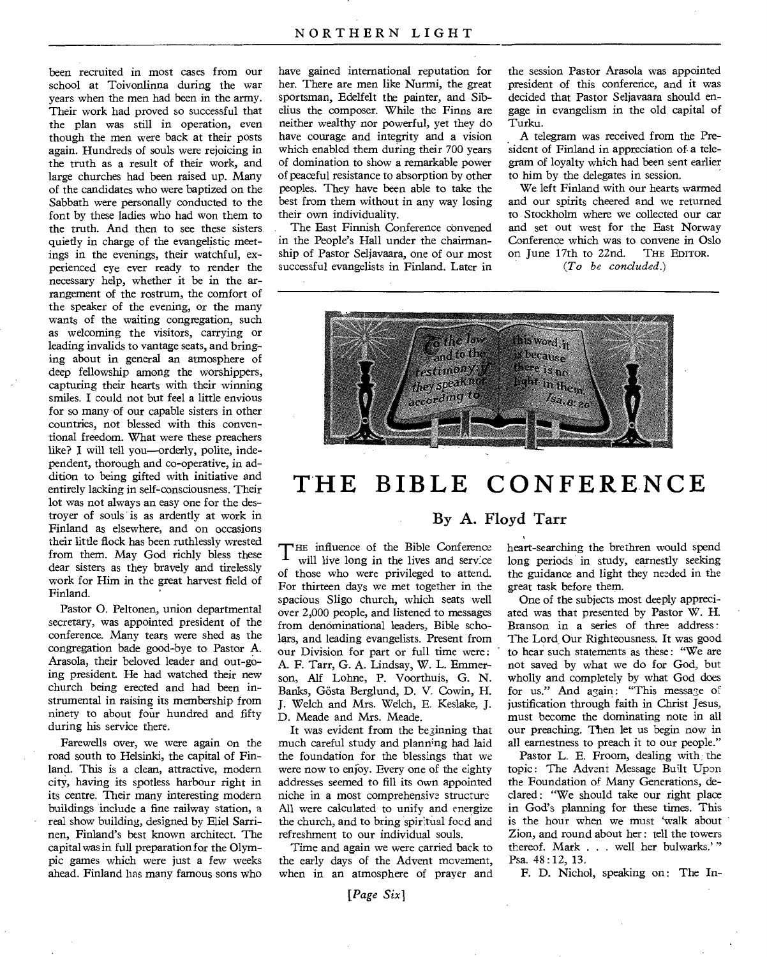been recruited in most cases from our school at Toivonlinna during the war years when the men had been in the army. Their work had proved so successful that the plan was still in operation, even though the men were back at their posts again. Hundreds of souls were rejoicing in the truth as a result of their work, and large churches had been raised up. Many of the candidates who were baptized on the Sabbath were personally conducted to the font by these ladies who had won them to the truth. And then to see these sisters quietly in charge of the evangelistic meetings in the evenings, their watchful, experienced eye ever ready to render the necessary help, whether it be in the arrangement of the rostrum, the comfort of the speaker of the evening, or the many wants of the waiting congregation, such as welcoming the visitors, carrying or leading invalids to vantage seats, and bringing about in general an atmosphere of deep fellowship among the worshippers, capturing their hearts with their winning smiles. I could not but feel a little envious for so many of our capable sisters in other countries, not blessed with this conventional freedom. What were these preachers like? I will tell you—orderly, polite, independent, thorough and co-operative, in addition to being gifted with initiative and entirely lacking in self-consciousness. Their lot was not always an easy one for the destroyer of souls is as ardently at work in Finland as elsewhere, and on occasions their little flock has been ruthlessly wrested from them. May God richly bless these dear sisters as they bravely and tirelessly work for Him in the great harvest field of Finland.

Pastor 0. Peltonen, union departmental secretary, was appointed president of the conference. Many tears were shed as the congregation bade good-bye to Pastor A. Arasola, their beloved leader and out-going president. He had watched their new church being erected and had been instrumental in raising its membership from ninety to about four hundred and fifty during his service there.

Farewells over, we were again on the road south to Helsinki, the capital of Finland. This is a clean, attractive, modern city, having its spotless harbour right in its centre. Their many interesting modern buildings include a fine railway station, a real show building, designed by Eliel Sarrinen, Finland's best known architect. The capital was in full preparation for the Olympic games which were just a few weeks ahead. Finland has many famous sons who

have gained international reputation for her. There are men like Nurmi, the great sportsman, Edelfelt the painter, and Sibelius the composer. While the Finns are neither wealthy nor powerful, yet they do have courage and integrity and a vision which enabled them during their 700 years of domination to show a remarkable power of peaceful resistance to absorption by other peoples. They have been able to take the best from them without in any way losing their own individuality.

The East Finnish Conference convened in the People's Hall under the chairmanship of Pastor Seljavaara, one of our most successful evangelists in Finland. Later in

the session Pastor Arasola was appointed president of this conference, and it was decided that Pastor Seljavaara should engage in evangelism in the old capital of Turku.

A telegram was received from the President of Finland in appreciation of. a telegram of loyalty which had been sent earlier to him by the delegates in session.

We left Finland with our hearts warmed and our spirits cheered and we returned to Stockholm where we collected our car and set out west for the East Norway Conference which was to convene in Oslo<br>on June 17th to 22nd. THE EDITOR. on June 17th to 22nd. *(To be concluded.)* 

 $\frac{1}{\sqrt{2}}$  and to the they speaknot the<br>Y:Y<br>to<br>to this word, it is because there is  $n_0$ light in them,  $I$ sa. $\rm{e_{1.26}}$ 

# **THE BIBLE CONFERENCE**

### By A. Floyd Tarr

T HE influence of the Bible Conference will live long in the lives and service of those who were privileged to attend. For thirteen days we met together in the spacious Sligo church, which seats well over 2,000 people, and listened to messages from denominational leaders, Bible scholars, and leading evangelists. Present from our Division for part or full time were : A. F. Tarr, G. A. Lindsay, W. L. Emmerson, Alf Lohne, P. Voorthuis, G. N. Banks, Gösta Berglund, D. V. Cowin, H. J. Welch and Mrs. Welch, E. Keslake, J. D. Meade and Mrs. Meade.

It was evident from the beginning that much careful study and planning had laid the foundation for the blessings that *we*  were now to enjoy. Every one of the eighty addresses seemed to fill its own appointed niche in a most comprehensive structure All were calculated to unify and energize the church, and to bring spirtual focd and refreshment to our individual souls.

Time and again we were carried back to the early days of the Advent movement, when in an atmosphere of prayer and heart-searching the brethren would spend long periods in study, earnestly seeking the guidance and light they needed in the great task before them.

One of the subjects most deeply appreciated was that presented by Pastor W. H. Branson in a series of three address : The Lord, Our Righteousness. It was good to hear such statements as these : "We are not saved by what we do for God, but wholly and completely by what God does for us." And again: "This message of justification through faith in Christ Jesus, must become the dominating note in all our preaching. Then let us begin now in all earnestness to preach it to our people."

Pastor L. E. Froom, dealing with the topic: The Advent Message Built Upon the Foundation of Many Generations, declared : "We should take our right place in God's planning for these times. This is the hour when we must 'walk about Zion, and round about her : tell the towers thereof. Mark . . . well her bulwarks.'" Psa. 48 : 12, 13.

F. D. Nichol, speaking on: The In-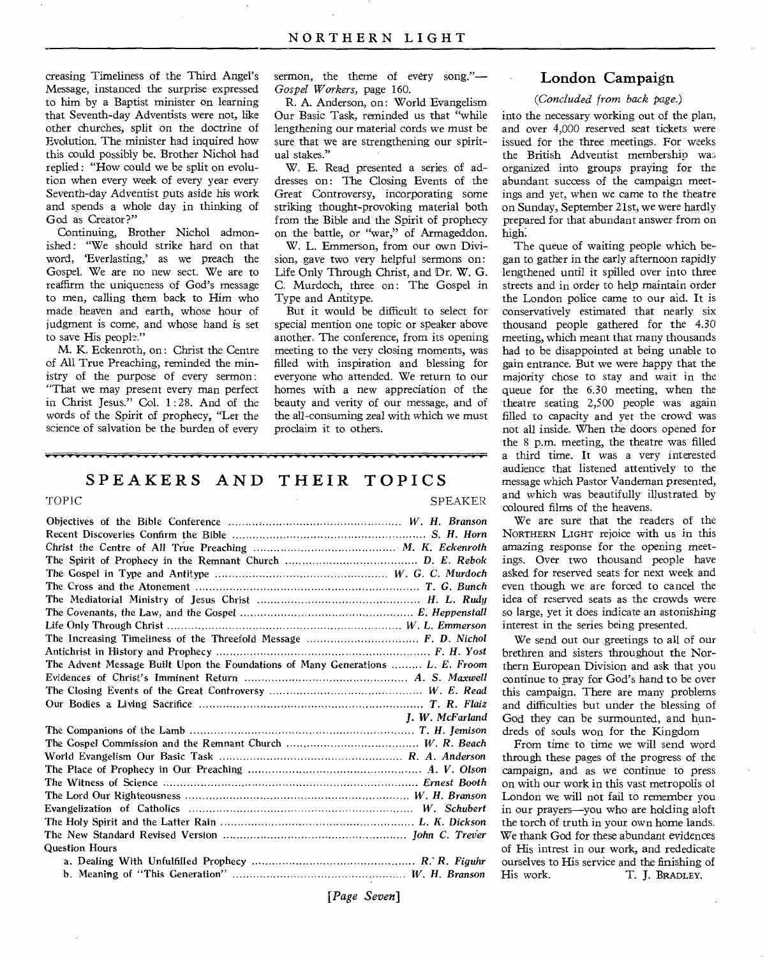creasing Timeliness of the Third Angel's Message, instanced the surprise expressed to him by a Baptist minister on learning that Seventh-day Adventists were not, like other churches, split on the doctrine of Evolution. The minister had inquired how this could possibly be. Brother Nichol had replied : "How could we be split on evolution when every week of every year every Seventh-day Adventist puts aside his work and spends a whole day in thinking of God as Creator?"

Continuing, Brother Nichol admonished: "We should strike hard on that word, 'Everlasting,' as we preach the Gospel. We are no new sect. We are to reaffirm the uniqueness of God's message to men, calling them back to Him who made heaven and earth, whose hour of judgment is come, and whose hand is set to save His people."

M. K. Eckenroth, on : Christ the Centre of All True Preaching, reminded the ministry of the purpose of every sermon : "That we may present every man perfect in Christ Jesus." Col. 1 : 28. And of the words of the Spirit of prophecy, "Let the science of salvation be the burden of every

sermon, the theme of every song."— Gospel *Workers,* page 160.

R. A. Anderson, on: World Evangelism Our Basic Task, reminded us that "while lengthening our material cords we must be sure that we are strengthening our spiritual stakes."

W. E. Read presented a series of addresses on: The Closing Events of the Great Controversy, incorporating some striking thought-provoking material both from the Bible and the Spirit of prophecy on the battle, or "war," of Armageddon.

W. L. Emmerson, from our own Division, gave two very helpful sermons on: Life Only Through Christ, and Dr. W. G. C. Murdoch, three on: The Gospel in Type and Antitype.

But it would be difficult to select for special mention one topic or speaker above another. The conference, from its opening meeting to the very closing moments, was filled with inspiration and blessing for everyone who attended. We return to our homes with a new appreciation of the beauty and verity of our message, and of the all-consuming zeal with which we must proclaim it to others.

# **SPEAKERS AND THEIR TOPICS**

#### TOPIC SPEAKER

| The Advent Message Built Upon the Foundations of Many Generations  L. E. Froom                                |
|---------------------------------------------------------------------------------------------------------------|
|                                                                                                               |
|                                                                                                               |
|                                                                                                               |
|                                                                                                               |
| I. W. McFarland                                                                                               |
|                                                                                                               |
|                                                                                                               |
|                                                                                                               |
|                                                                                                               |
|                                                                                                               |
|                                                                                                               |
|                                                                                                               |
|                                                                                                               |
|                                                                                                               |
| <b>Question Hours</b>                                                                                         |
|                                                                                                               |
| 1000 Annual Accord (1990) Annual Accord (1990) Annual Accord (1990) Annual Accord (1990) Annual Accord (1990) |

# **London Campaign**

#### *(Concluded from back page.)*

into the necessary working out of the plan, and over 4,000 reserved seat tickets were issued for the three meetings. For weeks the British Adventist membership was organized into groups praying for the abundant success of the campaign meetings and yet, when we came to the theatre on Sunday, September 21st, we were hardly prepared for that abundant answer from on high:

The queue of waiting people which began to gather in the early afternoon rapidly lengthened until it spilled over into three streets and in order to help maintain order the London police came to our aid. It is conservatively estimated that nearly six thousand people gathered for the 4.30 meeting, which meant that many thousands had to be disappointed at being unable to gain entrance. But we were happy that the majority chose to stay and wait in the queue for the 6.30 meeting, when the theatre seating 2,500 people was again filled to capacity and yet the crowd was not all inside. When the doors opened for the 8 p.m. meeting, the theatre was filled a third time. It was a very interested audience that listened attentively to the message which Pastor Vandeman presented, and which was beautifully illustrated by coloured films of the heavens.

We are sure that the readers of the NORTHERN LIGHT rejoice with us in this amazing response for the opening meetings. Over two thousand people have asked for reserved seats for next week and even though we are forced to cancel the idea of reserved seats as the crowds were so large, yet it does indicate an astonishing interest in the series being presented.

We send out our greetings to all of our brethren and sisters throughout the Northern European Division and ask that you continue to pray for God's hand to be over this campaign. There are many problems and difficulties but under the blessing of God they can be surmounted, and hundreds of souls won for the Kingdom

From time to time we will send word through these pages of the progress of the campaign, and as we continue to press on with our work in this vast metropolis of London we will not fail to remember you in our prayers—you who are holding aloft the torch of truth in your own home lands. We thank God for these abundant evidences of His intrest in our work, and rededicate ourselves to His service and the finishing of<br>His work. T. J. BRADLEY. T. J. BRADLEY.